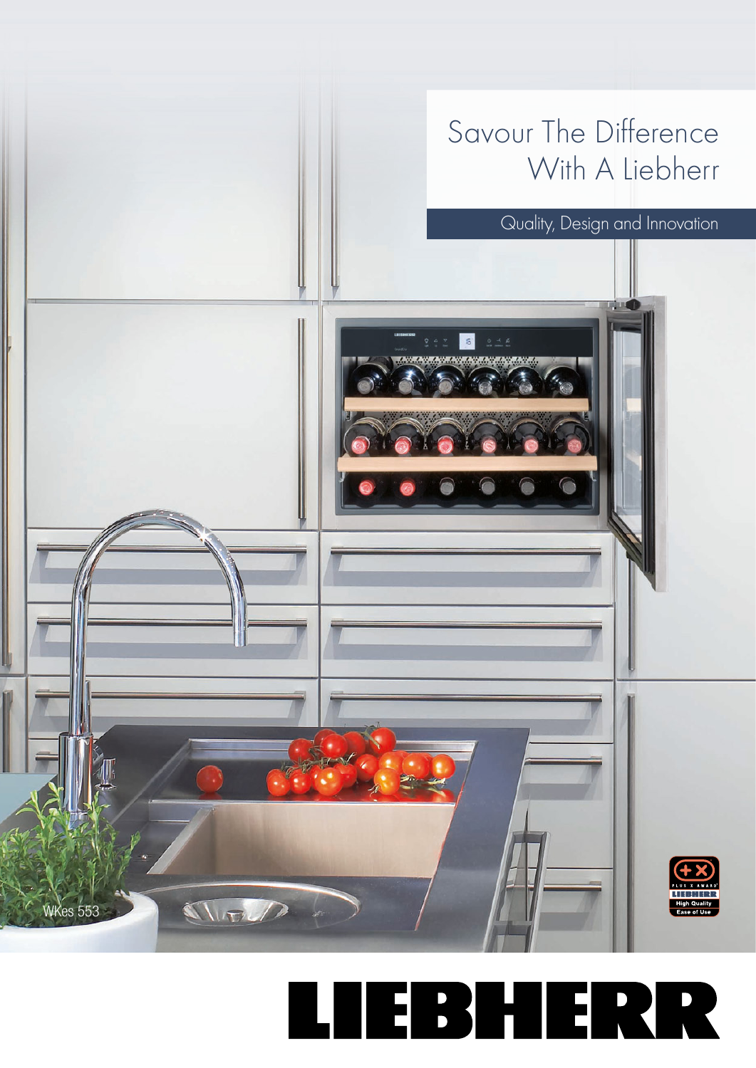Savour The Difference With A Liebherr

Quality, Design and Innovation



THELD

WKes 553